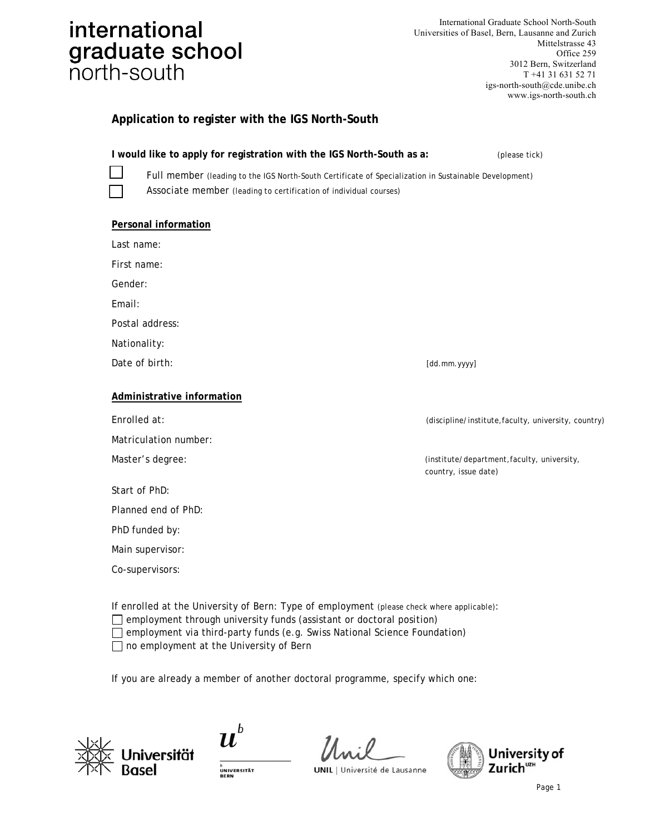## international graduate school north-south

| International Graduate School North-South        |
|--------------------------------------------------|
| Universities of Basel, Bern, Lausanne and Zurich |
| Mittelstrasse 43                                 |
| Office 259                                       |
| 3012 Bern, Switzerland                           |
| $T + 41$ 31 631 52 71                            |
| igs-north-south@cde.unibe.ch                     |
| www.igs-north-south.ch                           |

### **Application to register with the IGS North-South**

**I would like to apply for registration with the IGS North-South as a:** (please tick)  $\Box$ 

Full member (leading to the IGS North-South Certificate of Specialization in Sustainable Development) Associate member (leading to certification of individual courses)

#### **Personal information**

Last name:

First name:

Gender:

Email:

Postal address:

Nationality:

Date of birth: [dd.mm.yyyy]

#### **Administrative information**

Matriculation number:

| Start of PhD: |  |  |
|---------------|--|--|
|               |  |  |

Planned end of PhD:

PhD funded by:

Main supervisor:

Co-supervisors:

Enrolled at: (discipline/institute,faculty, university, country)

Master's degree:  $($ institute/department,faculty, university, country, issue date)

If enrolled at the University of Bern: Type of employment (please check where applicable):  $\Box$  employment through university funds (assistant or doctoral position)  $\Box$  employment via third-party funds (e.g. Swiss National Science Foundation)

 $\Box$  no employment at the University of Bern

If you are already a member of another doctoral programme, specify which one:



 $\boldsymbol{u}^{\textit{b}}$ 

 $\mathcal{U}$ ., : 0 **UNIL** | Université de Lausanne

University of Zurich<sup>UZH</sup>